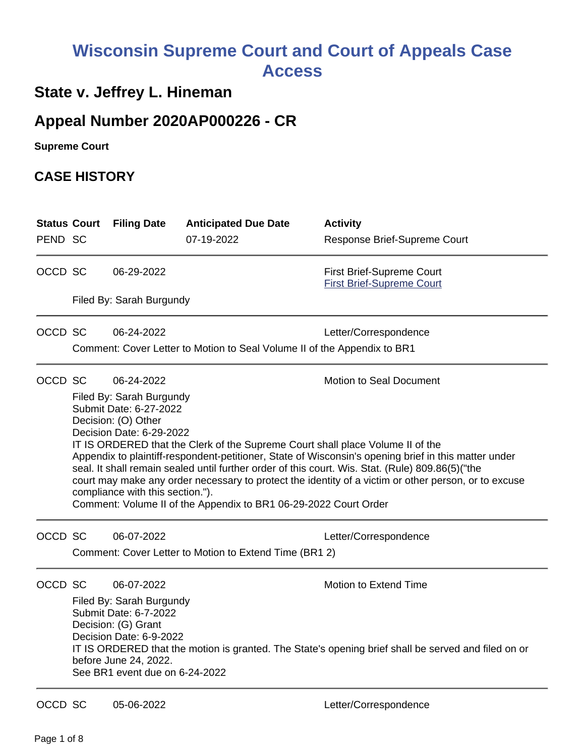# **Wisconsin Supreme Court and Court of Appeals Case Access**

# **State v. Jeffrey L. Hineman**

# **Appeal Number 2020AP000226 - CR**

**Supreme Court** 

## **CASE HISTORY**

| <b>Status Court</b><br>PEND SC |                                                                                                                                                                                                                                                                                                                                                                                                                                                                                                                                                                                                                                                                     | <b>Filing Date</b>                                                                                                                                                           | <b>Anticipated Due Date</b><br>07-19-2022              | <b>Activity</b><br>Response Brief-Supreme Court                                                                              |  |  |
|--------------------------------|---------------------------------------------------------------------------------------------------------------------------------------------------------------------------------------------------------------------------------------------------------------------------------------------------------------------------------------------------------------------------------------------------------------------------------------------------------------------------------------------------------------------------------------------------------------------------------------------------------------------------------------------------------------------|------------------------------------------------------------------------------------------------------------------------------------------------------------------------------|--------------------------------------------------------|------------------------------------------------------------------------------------------------------------------------------|--|--|
| OCCD SC                        |                                                                                                                                                                                                                                                                                                                                                                                                                                                                                                                                                                                                                                                                     | 06-29-2022                                                                                                                                                                   |                                                        | First Brief-Supreme Court<br><b>First Brief-Supreme Court</b>                                                                |  |  |
|                                | Filed By: Sarah Burgundy                                                                                                                                                                                                                                                                                                                                                                                                                                                                                                                                                                                                                                            |                                                                                                                                                                              |                                                        |                                                                                                                              |  |  |
| OCCD SC                        |                                                                                                                                                                                                                                                                                                                                                                                                                                                                                                                                                                                                                                                                     | 06-24-2022                                                                                                                                                                   |                                                        | Letter/Correspondence                                                                                                        |  |  |
|                                | Comment: Cover Letter to Motion to Seal Volume II of the Appendix to BR1                                                                                                                                                                                                                                                                                                                                                                                                                                                                                                                                                                                            |                                                                                                                                                                              |                                                        |                                                                                                                              |  |  |
| OCCD SC                        | <b>Motion to Seal Document</b><br>06-24-2022<br>Filed By: Sarah Burgundy<br>Submit Date: 6-27-2022<br>Decision: (O) Other<br>Decision Date: 6-29-2022<br>IT IS ORDERED that the Clerk of the Supreme Court shall place Volume II of the<br>Appendix to plaintiff-respondent-petitioner, State of Wisconsin's opening brief in this matter under<br>seal. It shall remain sealed until further order of this court. Wis. Stat. (Rule) 809.86(5)("the<br>court may make any order necessary to protect the identity of a victim or other person, or to excuse<br>compliance with this section.").<br>Comment: Volume II of the Appendix to BR1 06-29-2022 Court Order |                                                                                                                                                                              |                                                        |                                                                                                                              |  |  |
| OCCD SC                        |                                                                                                                                                                                                                                                                                                                                                                                                                                                                                                                                                                                                                                                                     | 06-07-2022                                                                                                                                                                   | Comment: Cover Letter to Motion to Extend Time (BR1 2) | Letter/Correspondence                                                                                                        |  |  |
| OCCD SC                        |                                                                                                                                                                                                                                                                                                                                                                                                                                                                                                                                                                                                                                                                     | 06-07-2022<br>Filed By: Sarah Burgundy<br>Submit Date: 6-7-2022<br>Decision: (G) Grant<br>Decision Date: 6-9-2022<br>before June 24, 2022.<br>See BR1 event due on 6-24-2022 |                                                        | Motion to Extend Time<br>IT IS ORDERED that the motion is granted. The State's opening brief shall be served and filed on or |  |  |
| OCCD SC                        |                                                                                                                                                                                                                                                                                                                                                                                                                                                                                                                                                                                                                                                                     | 05-06-2022                                                                                                                                                                   |                                                        | Letter/Correspondence                                                                                                        |  |  |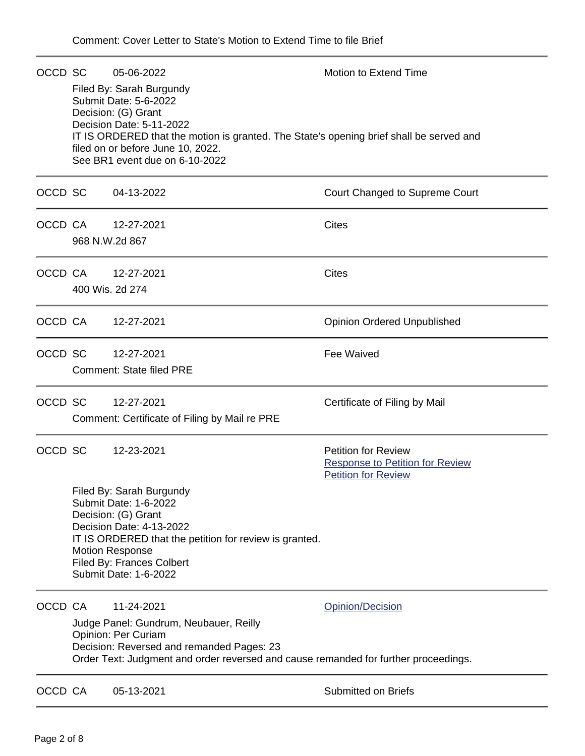|         |                 | OCCD SC 05-06-2022<br>Filed By: Sarah Burgundy<br>Submit Date: 5-6-2022<br>Decision: (G) Grant<br>Decision Date: 5-11-2022<br>IT IS ORDERED that the motion is granted. The State's opening brief shall be served and<br>filed on or before June 10, 2022.<br>See BR1 event due on 6-10-2022 | <b>Motion to Extend Time</b>                                                                       |
|---------|-----------------|----------------------------------------------------------------------------------------------------------------------------------------------------------------------------------------------------------------------------------------------------------------------------------------------|----------------------------------------------------------------------------------------------------|
| OCCD SC |                 | 04-13-2022                                                                                                                                                                                                                                                                                   | Court Changed to Supreme Court                                                                     |
| OCCD CA | 968 N.W.2d 867  | 12-27-2021                                                                                                                                                                                                                                                                                   | <b>Cites</b>                                                                                       |
| OCCD CA | 400 Wis. 2d 274 | 12-27-2021                                                                                                                                                                                                                                                                                   | <b>Cites</b>                                                                                       |
|         | OCCD CA         | 12-27-2021                                                                                                                                                                                                                                                                                   | <b>Opinion Ordered Unpublished</b>                                                                 |
| OCCD SC |                 | 12-27-2021<br><b>Comment: State filed PRE</b>                                                                                                                                                                                                                                                | Fee Waived                                                                                         |
| OCCD SC |                 | 12-27-2021<br>Comment: Certificate of Filing by Mail re PRE                                                                                                                                                                                                                                  | Certificate of Filing by Mail                                                                      |
| OCCD SC |                 | 12-23-2021                                                                                                                                                                                                                                                                                   | <b>Petition for Review</b><br><b>Response to Petition for Review</b><br><b>Petition for Review</b> |
|         |                 | Filed By: Sarah Burgundy<br>Submit Date: 1-6-2022<br>Decision: (G) Grant<br>Decision Date: 4-13-2022<br>IT IS ORDERED that the petition for review is granted.<br><b>Motion Response</b><br>Filed By: Frances Colbert<br>Submit Date: 1-6-2022                                               |                                                                                                    |
|         | OCCD CA         | 11-24-2021<br>Judge Panel: Gundrum, Neubauer, Reilly<br>Opinion: Per Curiam<br>Decision: Reversed and remanded Pages: 23<br>Order Text: Judgment and order reversed and cause remanded for further proceedings.                                                                              | Opinion/Decision                                                                                   |
| OCCD CA |                 | 05-13-2021                                                                                                                                                                                                                                                                                   | <b>Submitted on Briefs</b>                                                                         |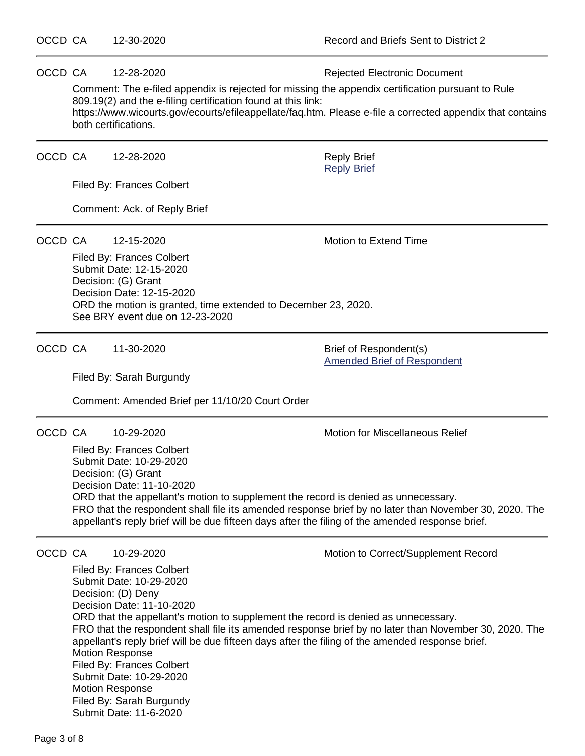OCCD CA 12-28-2020 **Rejected Electronic Document** 

Comment: The e-filed appendix is rejected for missing the appendix certification pursuant to Rule 809.19(2) and the e-filing certification found at this link:

https://www.wicourts.gov/ecourts/efileappellate/faq.htm. Please e-file a corrected appendix that contains both certifications.

OCCD CA 12-28-2020 Reply Brief

Filed By: Frances Colbert

Comment: Ack. of Reply Brief

OCCD CA 12-15-2020 Motion to Extend Time

[Reply Brief](https://acefiling.wicourts.gov/document/eFiled/2020AP000226/320012)

Filed By: Frances Colbert Submit Date: 12-15-2020 Decision: (G) Grant Decision Date: 12-15-2020 ORD the motion is granted, time extended to December 23, 2020. See BRY event due on 12-23-2020

OCCD CA 11-30-2020 Brief of Respondent(s)

[Amended Brief of Respondent](https://acefiling.wicourts.gov/document/eFiled/2020AP000226/310933)

Filed By: Sarah Burgundy

Comment: Amended Brief per 11/10/20 Court Order

OCCD CA 10-29-2020 Motion for Miscellaneous Relief

Filed By: Frances Colbert Submit Date: 10-29-2020 Decision: (G) Grant Decision Date: 11-10-2020 ORD that the appellant's motion to supplement the record is denied as unnecessary. FRO that the respondent shall file its amended response brief by no later than November 30, 2020. The appellant's reply brief will be due fifteen days after the filing of the amended response brief.

OCCD CA 10-29-2020 Motion to Correct/Supplement Record

Filed By: Frances Colbert Submit Date: 10-29-2020 Decision: (D) Deny Decision Date: 11-10-2020 ORD that the appellant's motion to supplement the record is denied as unnecessary. FRO that the respondent shall file its amended response brief by no later than November 30, 2020. The appellant's reply brief will be due fifteen days after the filing of the amended response brief. Motion Response Filed By: Frances Colbert Submit Date: 10-29-2020 Motion Response Filed By: Sarah Burgundy Submit Date: 11-6-2020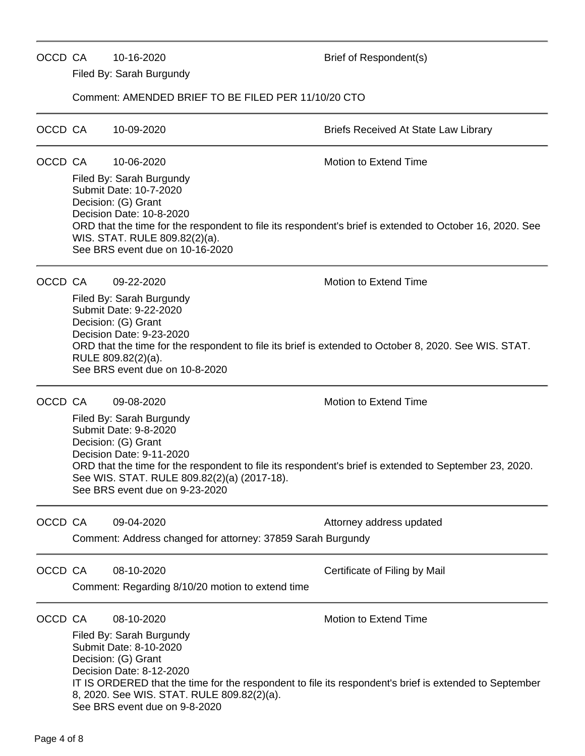## Filed By: Sarah Burgundy Comment: AMENDED BRIEF TO BE FILED PER 11/10/20 CTO OCCD CA 10-09-2020 **Briefs Received At State Law Library** OCCD CA 10-06-2020 Motion to Extend Time Filed By: Sarah Burgundy Submit Date: 10-7-2020 Decision: (G) Grant Decision Date: 10-8-2020 ORD that the time for the respondent to file its respondent's brief is extended to October 16, 2020. See WIS. STAT. RULE 809.82(2)(a). See BRS event due on 10-16-2020 OCCD CA 09-22-2020 Motion to Extend Time Filed By: Sarah Burgundy Submit Date: 9-22-2020 Decision: (G) Grant Decision Date: 9-23-2020 ORD that the time for the respondent to file its brief is extended to October 8, 2020. See WIS. STAT. RULE 809.82(2)(a). See BRS event due on 10-8-2020 OCCD CA 09-08-2020 Motion to Extend Time Filed By: Sarah Burgundy Submit Date: 9-8-2020 Decision: (G) Grant Decision Date: 9-11-2020 ORD that the time for the respondent to file its respondent's brief is extended to September 23, 2020. See WIS. STAT. RULE 809.82(2)(a) (2017-18). See BRS event due on 9-23-2020

OCCD CA 10-16-2020 Brief of Respondent(s)

OCCD CA 09-04-2020 **Attorney address updated** 

Comment: Address changed for attorney: 37859 Sarah Burgundy

OCCD CA 08-10-2020 Certificate of Filing by Mail

Comment: Regarding 8/10/20 motion to extend time

OCCD CA 08-10-2020 Motion to Extend Time

Filed By: Sarah Burgundy Submit Date: 8-10-2020 Decision: (G) Grant Decision Date: 8-12-2020 IT IS ORDERED that the time for the respondent to file its respondent's brief is extended to September 8, 2020. See WIS. STAT. RULE 809.82(2)(a). See BRS event due on 9-8-2020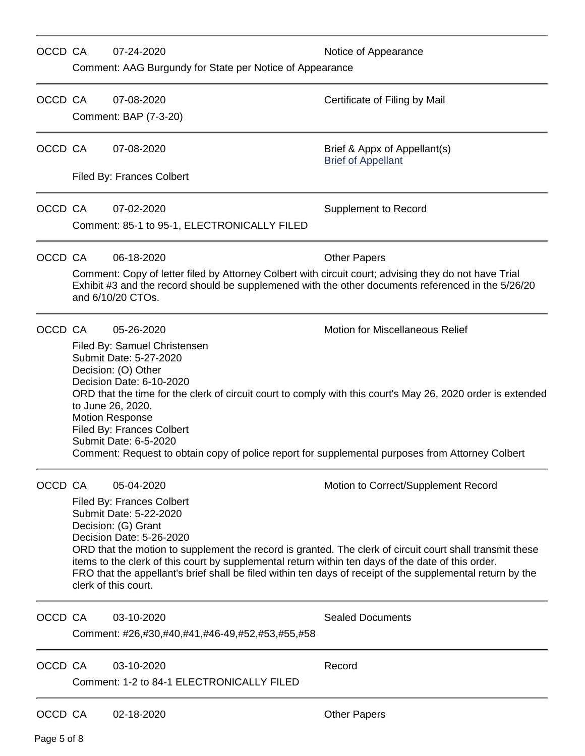| OCCD CA |                                                                                                                                                                                                                                                                                                                                                                                                                                                                                           | 07-24-2020<br>Comment: AAG Burgundy for State per Notice of Appearance                                                                                                                                                                             | Notice of Appearance                                                                                                                                                                                                                                          |  |  |  |
|---------|-------------------------------------------------------------------------------------------------------------------------------------------------------------------------------------------------------------------------------------------------------------------------------------------------------------------------------------------------------------------------------------------------------------------------------------------------------------------------------------------|----------------------------------------------------------------------------------------------------------------------------------------------------------------------------------------------------------------------------------------------------|---------------------------------------------------------------------------------------------------------------------------------------------------------------------------------------------------------------------------------------------------------------|--|--|--|
| OCCD CA |                                                                                                                                                                                                                                                                                                                                                                                                                                                                                           | 07-08-2020<br>Comment: BAP (7-3-20)                                                                                                                                                                                                                | Certificate of Filing by Mail                                                                                                                                                                                                                                 |  |  |  |
| OCCD CA |                                                                                                                                                                                                                                                                                                                                                                                                                                                                                           | 07-08-2020                                                                                                                                                                                                                                         | Brief & Appx of Appellant(s)<br><b>Brief of Appellant</b>                                                                                                                                                                                                     |  |  |  |
|         |                                                                                                                                                                                                                                                                                                                                                                                                                                                                                           | Filed By: Frances Colbert                                                                                                                                                                                                                          |                                                                                                                                                                                                                                                               |  |  |  |
| OCCD CA |                                                                                                                                                                                                                                                                                                                                                                                                                                                                                           | 07-02-2020                                                                                                                                                                                                                                         | <b>Supplement to Record</b>                                                                                                                                                                                                                                   |  |  |  |
|         |                                                                                                                                                                                                                                                                                                                                                                                                                                                                                           | Comment: 85-1 to 95-1, ELECTRONICALLY FILED                                                                                                                                                                                                        |                                                                                                                                                                                                                                                               |  |  |  |
| OCCD CA |                                                                                                                                                                                                                                                                                                                                                                                                                                                                                           | 06-18-2020                                                                                                                                                                                                                                         | <b>Other Papers</b>                                                                                                                                                                                                                                           |  |  |  |
|         |                                                                                                                                                                                                                                                                                                                                                                                                                                                                                           | Comment: Copy of letter filed by Attorney Colbert with circuit court; advising they do not have Trial<br>Exhibit #3 and the record should be supplemened with the other documents referenced in the 5/26/20<br>and 6/10/20 CTOs.                   |                                                                                                                                                                                                                                                               |  |  |  |
| OCCD CA | <b>Motion for Miscellaneous Relief</b><br>05-26-2020<br>Filed By: Samuel Christensen<br>Submit Date: 5-27-2020<br>Decision: (O) Other<br>Decision Date: 6-10-2020<br>ORD that the time for the clerk of circuit court to comply with this court's May 26, 2020 order is extended<br>to June 26, 2020.<br><b>Motion Response</b><br>Filed By: Frances Colbert<br>Submit Date: 6-5-2020<br>Comment: Request to obtain copy of police report for supplemental purposes from Attorney Colbert |                                                                                                                                                                                                                                                    |                                                                                                                                                                                                                                                               |  |  |  |
| OCCD CA |                                                                                                                                                                                                                                                                                                                                                                                                                                                                                           | 05-04-2020<br>Filed By: Frances Colbert<br>Submit Date: 5-22-2020<br>Decision: (G) Grant<br>Decision Date: 5-26-2020<br>items to the clerk of this court by supplemental return within ten days of the date of this order.<br>clerk of this court. | Motion to Correct/Supplement Record<br>ORD that the motion to supplement the record is granted. The clerk of circuit court shall transmit these<br>FRO that the appellant's brief shall be filed within ten days of receipt of the supplemental return by the |  |  |  |
| OCCD CA |                                                                                                                                                                                                                                                                                                                                                                                                                                                                                           | 03-10-2020<br>Comment: #26,#30,#40,#41,#46-49,#52,#53,#55,#58                                                                                                                                                                                      | <b>Sealed Documents</b>                                                                                                                                                                                                                                       |  |  |  |
| OCCD CA |                                                                                                                                                                                                                                                                                                                                                                                                                                                                                           | 03-10-2020<br>Comment: 1-2 to 84-1 ELECTRONICALLY FILED                                                                                                                                                                                            | Record                                                                                                                                                                                                                                                        |  |  |  |
| OCCD CA |                                                                                                                                                                                                                                                                                                                                                                                                                                                                                           | 02-18-2020                                                                                                                                                                                                                                         | <b>Other Papers</b>                                                                                                                                                                                                                                           |  |  |  |

Page 5 of 8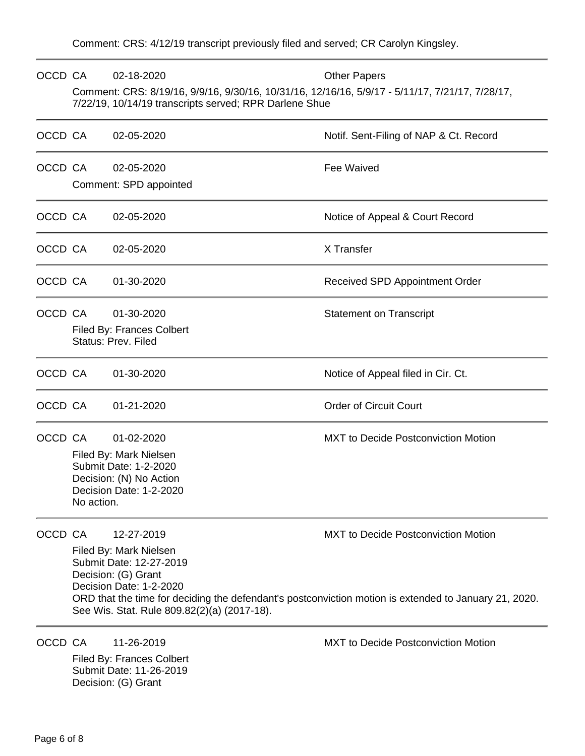| OCCD CA |                                                                                                                                                                                 | 02-18-2020<br>Comment: CRS: 8/19/16, 9/9/16, 9/30/16, 10/31/16, 12/16/16, 5/9/17 - 5/11/17, 7/21/17, 7/28/17,<br>7/22/19, 10/14/19 transcripts served; RPR Darlene Shue | <b>Other Papers</b>                                                                                                                                 |
|---------|---------------------------------------------------------------------------------------------------------------------------------------------------------------------------------|-------------------------------------------------------------------------------------------------------------------------------------------------------------------------|-----------------------------------------------------------------------------------------------------------------------------------------------------|
| OCCD CA |                                                                                                                                                                                 | 02-05-2020                                                                                                                                                              | Notif. Sent-Filing of NAP & Ct. Record                                                                                                              |
| OCCD CA |                                                                                                                                                                                 | 02-05-2020<br>Comment: SPD appointed                                                                                                                                    | Fee Waived                                                                                                                                          |
| OCCD CA |                                                                                                                                                                                 | 02-05-2020                                                                                                                                                              | Notice of Appeal & Court Record                                                                                                                     |
| OCCD CA |                                                                                                                                                                                 | 02-05-2020                                                                                                                                                              | X Transfer                                                                                                                                          |
| OCCD CA |                                                                                                                                                                                 | 01-30-2020                                                                                                                                                              | Received SPD Appointment Order                                                                                                                      |
| OCCD CA |                                                                                                                                                                                 | 01-30-2020<br><b>Filed By: Frances Colbert</b><br>Status: Prev. Filed                                                                                                   | <b>Statement on Transcript</b>                                                                                                                      |
| OCCD CA |                                                                                                                                                                                 | 01-30-2020                                                                                                                                                              | Notice of Appeal filed in Cir. Ct.                                                                                                                  |
| OCCD CA |                                                                                                                                                                                 | 01-21-2020                                                                                                                                                              | <b>Order of Circuit Court</b>                                                                                                                       |
| OCCD CA | 01-02-2020<br><b>MXT</b> to Decide Postconviction Motion<br>Filed By: Mark Nielsen<br>Submit Date: 1-2-2020<br>Decision: (N) No Action<br>Decision Date: 1-2-2020<br>No action. |                                                                                                                                                                         |                                                                                                                                                     |
| OCCD CA |                                                                                                                                                                                 | 12-27-2019<br>Filed By: Mark Nielsen<br>Submit Date: 12-27-2019<br>Decision: (G) Grant<br>Decision Date: 1-2-2020<br>See Wis. Stat. Rule 809.82(2)(a) (2017-18).        | <b>MXT to Decide Postconviction Motion</b><br>ORD that the time for deciding the defendant's postconviction motion is extended to January 21, 2020. |
| OCCD CA |                                                                                                                                                                                 | 11-26-2019                                                                                                                                                              | <b>MXT to Decide Postconviction Motion</b>                                                                                                          |

Filed By: Frances Colbert Submit Date: 11-26-2019 Decision: (G) Grant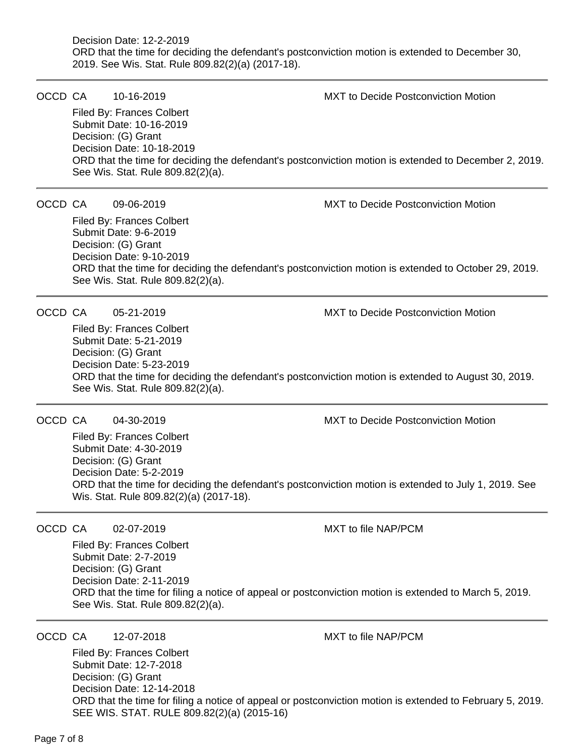### Decision Date: 12-2-2019 ORD that the time for deciding the defendant's postconviction motion is extended to December 30, 2019. See Wis. Stat. Rule 809.82(2)(a) (2017-18).

OCCD CA 10-16-2019 MXT to Decide Postconviction Motion

Filed By: Frances Colbert Submit Date: 10-16-2019 Decision: (G) Grant Decision Date: 10-18-2019 ORD that the time for deciding the defendant's postconviction motion is extended to December 2, 2019. See Wis. Stat. Rule 809.82(2)(a).

OCCD CA 09-06-2019 MXT to Decide Postconviction Motion

Filed By: Frances Colbert Submit Date: 9-6-2019 Decision: (G) Grant Decision Date: 9-10-2019 ORD that the time for deciding the defendant's postconviction motion is extended to October 29, 2019. See Wis. Stat. Rule 809.82(2)(a).

OCCD CA 05-21-2019 MXT to Decide Postconviction Motion

Filed By: Frances Colbert Submit Date: 5-21-2019 Decision: (G) Grant Decision Date: 5-23-2019 ORD that the time for deciding the defendant's postconviction motion is extended to August 30, 2019. See Wis. Stat. Rule 809.82(2)(a).

## OCCD CA 04-30-2019 MXT to Decide Postconviction Motion

Filed By: Frances Colbert Submit Date: 4-30-2019 Decision: (G) Grant Decision Date: 5-2-2019 ORD that the time for deciding the defendant's postconviction motion is extended to July 1, 2019. See Wis. Stat. Rule 809.82(2)(a) (2017-18).

## OCCD CA 02-07-2019 MXT to file NAP/PCM

Filed By: Frances Colbert Submit Date: 2-7-2019 Decision: (G) Grant Decision Date: 2-11-2019 ORD that the time for filing a notice of appeal or postconviction motion is extended to March 5, 2019. See Wis. Stat. Rule 809.82(2)(a).

OCCD CA 12-07-2018 MXT to file NAP/PCM

Filed By: Frances Colbert

Submit Date: 12-7-2018 Decision: (G) Grant Decision Date: 12-14-2018 ORD that the time for filing a notice of appeal or postconviction motion is extended to February 5, 2019. SEE WIS. STAT. RULE 809.82(2)(a) (2015-16)